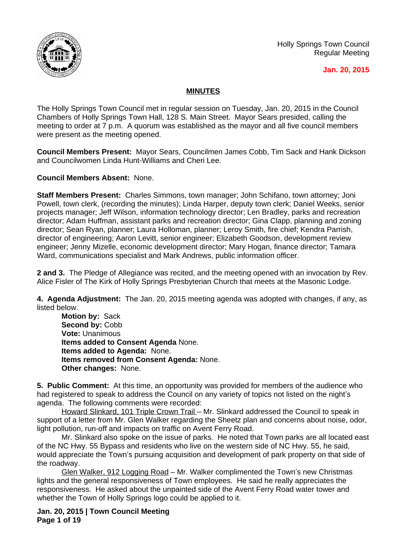

Holly Springs Town Council Regular Meeting

#### **Jan. 20, 2015**

## **MINUTES**

The Holly Springs Town Council met in regular session on Tuesday, Jan. 20, 2015 in the Council Chambers of Holly Springs Town Hall, 128 S. Main Street. Mayor Sears presided, calling the meeting to order at 7 p.m. A quorum was established as the mayor and all five council members were present as the meeting opened.

**Council Members Present:** Mayor Sears, Councilmen James Cobb, Tim Sack and Hank Dickson and Councilwomen Linda Hunt-Williams and Cheri Lee.

**Council Members Absent:** None.

**Staff Members Present:** Charles Simmons, town manager; John Schifano, town attorney; Joni Powell, town clerk, (recording the minutes); Linda Harper, deputy town clerk; Daniel Weeks, senior projects manager; Jeff Wilson, information technology director; Len Bradley, parks and recreation director; Adam Huffman, assistant parks and recreation director; Gina Clapp, planning and zoning director; Sean Ryan, planner; Laura Holloman, planner; Leroy Smith, fire chief; Kendra Parrish, director of engineering; Aaron Levitt, senior engineer; Elizabeth Goodson, development review engineer; Jenny Mizelle, economic development director; Mary Hogan, finance director; Tamara Ward, communications specialist and Mark Andrews, public information officer.

**2 and 3.** The Pledge of Allegiance was recited, and the meeting opened with an invocation by Rev. Alice Fisler of The Kirk of Holly Springs Presbyterian Church that meets at the Masonic Lodge.

**4. Agenda Adjustment:** The Jan. 20, 2015 meeting agenda was adopted with changes, if any, as listed below.

**Motion by:** Sack Second by: Cobb **Vote:** Unanimous **Items added to Consent Agenda** None. **Items added to Agenda:** None. **Items removed from Consent Agenda:** None. **Other changes:** None.

**5. Public Comment:** At this time, an opportunity was provided for members of the audience who had registered to speak to address the Council on any variety of topics not listed on the night's agenda. The following comments were recorded:

Howard Slinkard, 101 Triple Crown Trail – Mr. Slinkard addressed the Council to speak in support of a letter from Mr. Glen Walker regarding the Sheetz plan and concerns about noise, odor, light pollution, run-off and impacts on traffic on Avent Ferry Road.

Mr. Slinkard also spoke on the issue of parks. He noted that Town parks are all located east of the NC Hwy. 55 Bypass and residents who live on the western side of NC Hwy. 55, he said, would appreciate the Town's pursuing acquisition and development of park property on that side of the roadway.

Glen Walker, 912 Logging Road – Mr. Walker complimented the Town's new Christmas lights and the general responsiveness of Town employees. He said he really appreciates the responsiveness. He asked about the unpainted side of the Avent Ferry Road water tower and whether the Town of Holly Springs logo could be applied to it.

**Jan. 20, 2015 | Town Council Meeting Page 1 of 19**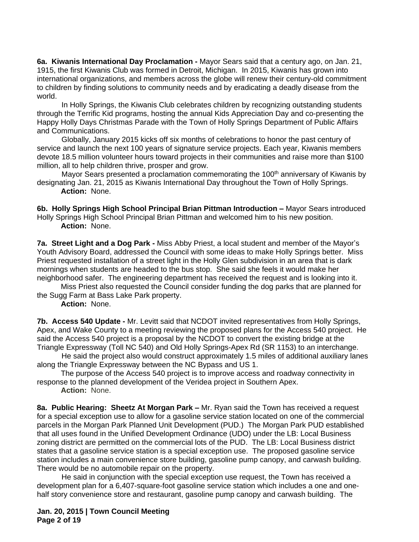**6a. Kiwanis International Day Proclamation -** Mayor Sears said that a century ago, on Jan. 21, 1915, the first Kiwanis Club was formed in Detroit, Michigan. In 2015, Kiwanis has grown into international organizations, and members across the globe will renew their century-old commitment to children by finding solutions to community needs and by eradicating a deadly disease from the world.

In Holly Springs, the Kiwanis Club celebrates children by recognizing outstanding students through the Terrific Kid programs, hosting the annual Kids Appreciation Day and co-presenting the Happy Holly Days Christmas Parade with the Town of Holly Springs Department of Public Affairs and Communications.

Globally, January 2015 kicks off six months of celebrations to honor the past century of service and launch the next 100 years of signature service projects. Each year, Kiwanis members devote 18.5 million volunteer hours toward projects in their communities and raise more than \$100 million, all to help children thrive, prosper and grow.

Mayor Sears presented a proclamation commemorating the 100<sup>th</sup> anniversary of Kiwanis by designating Jan. 21, 2015 as Kiwanis International Day throughout the Town of Holly Springs. **Action:** None.

**6b. Holly Springs High School Principal Brian Pittman Introduction –** Mayor Sears introduced Holly Springs High School Principal Brian Pittman and welcomed him to his new position. **Action:** None.

**7a. Street Light and a Dog Park -** Miss Abby Priest, a local student and member of the Mayor's Youth Advisory Board, addressed the Council with some ideas to make Holly Springs better. Miss Priest requested installation of a street light in the Holly Glen subdivision in an area that is dark mornings when students are headed to the bus stop. She said she feels it would make her neighborhood safer. The engineering department has received the request and is looking into it.

Miss Priest also requested the Council consider funding the dog parks that are planned for the Sugg Farm at Bass Lake Park property.

**Action:** None.

**7b. Access 540 Update -** Mr. Levitt said that NCDOT invited representatives from Holly Springs, Apex, and Wake County to a meeting reviewing the proposed plans for the Access 540 project. He said the Access 540 project is a proposal by the NCDOT to convert the existing bridge at the Triangle Expressway (Toll NC 540) and Old Holly Springs-Apex Rd (SR 1153) to an interchange.

He said the project also would construct approximately 1.5 miles of additional auxiliary lanes along the Triangle Expressway between the NC Bypass and US 1.

The purpose of the Access 540 project is to improve access and roadway connectivity in response to the planned development of the Veridea project in Southern Apex.

**Action:** None.

**8a. Public Hearing: Sheetz At Morgan Park –** Mr. Ryan said the Town has received a request for a special exception use to allow for a gasoline service station located on one of the commercial parcels in the Morgan Park Planned Unit Development (PUD.) The Morgan Park PUD established that all uses found in the Unified Development Ordinance (UDO) under the LB: Local Business zoning district are permitted on the commercial lots of the PUD. The LB: Local Business district states that a gasoline service station is a special exception use. The proposed gasoline service station includes a main convenience store building, gasoline pump canopy, and carwash building. There would be no automobile repair on the property.

He said in conjunction with the special exception use request, the Town has received a development plan for a 6,407-square-foot gasoline service station which includes a one and onehalf story convenience store and restaurant, gasoline pump canopy and carwash building. The

**Jan. 20, 2015 | Town Council Meeting Page 2 of 19**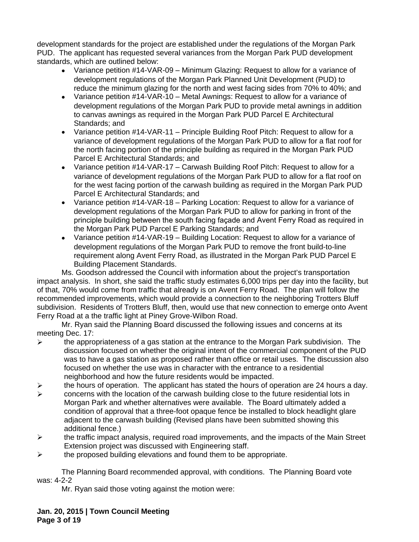development standards for the project are established under the regulations of the Morgan Park PUD. The applicant has requested several variances from the Morgan Park PUD development standards, which are outlined below:

- Variance petition #14-VAR-09 Minimum Glazing: Request to allow for a variance of development regulations of the Morgan Park Planned Unit Development (PUD) to reduce the minimum glazing for the north and west facing sides from 70% to 40%; and
- Variance petition #14-VAR-10 Metal Awnings: Request to allow for a variance of development regulations of the Morgan Park PUD to provide metal awnings in addition to canvas awnings as required in the Morgan Park PUD Parcel E Architectural Standards; and
- Variance petition #14-VAR-11 Principle Building Roof Pitch: Request to allow for a variance of development regulations of the Morgan Park PUD to allow for a flat roof for the north facing portion of the principle building as required in the Morgan Park PUD Parcel E Architectural Standards; and
- Variance petition #14-VAR-17 Carwash Building Roof Pitch: Request to allow for a variance of development regulations of the Morgan Park PUD to allow for a flat roof on for the west facing portion of the carwash building as required in the Morgan Park PUD Parcel E Architectural Standards; and
- Variance petition #14-VAR-18 Parking Location: Request to allow for a variance of development regulations of the Morgan Park PUD to allow for parking in front of the principle building between the south facing façade and Avent Ferry Road as required in the Morgan Park PUD Parcel E Parking Standards; and
- Variance petition #14-VAR-19 Building Location: Request to allow for a variance of development regulations of the Morgan Park PUD to remove the front build-to-line requirement along Avent Ferry Road, as illustrated in the Morgan Park PUD Parcel E Building Placement Standards.

Ms. Goodson addressed the Council with information about the project's transportation impact analysis. In short, she said the traffic study estimates 6,000 trips per day into the facility, but of that, 70% would come from traffic that already is on Avent Ferry Road. The plan will follow the recommended improvements, which would provide a connection to the neighboring Trotters Bluff subdivision. Residents of Trotters Bluff, then, would use that new connection to emerge onto Avent Ferry Road at a the traffic light at Piney Grove-Wilbon Road.

Mr. Ryan said the Planning Board discussed the following issues and concerns at its meeting Dec. 17:

- $\triangleright$  the appropriateness of a gas station at the entrance to the Morgan Park subdivision. The discussion focused on whether the original intent of the commercial component of the PUD was to have a gas station as proposed rather than office or retail uses. The discussion also focused on whether the use was in character with the entrance to a residential neighborhood and how the future residents would be impacted.
- $\triangleright$  the hours of operation. The applicant has stated the hours of operation are 24 hours a day.
- $\triangleright$  concerns with the location of the carwash building close to the future residential lots in Morgan Park and whether alternatives were available. The Board ultimately added a condition of approval that a three-foot opaque fence be installed to block headlight glare adjacent to the carwash building (Revised plans have been submitted showing this additional fence.)
- $\triangleright$  the traffic impact analysis, required road improvements, and the impacts of the Main Street Extension project was discussed with Engineering staff.
- $\triangleright$  the proposed building elevations and found them to be appropriate.

The Planning Board recommended approval, with conditions. The Planning Board vote was: 4-2-2

Mr. Ryan said those voting against the motion were: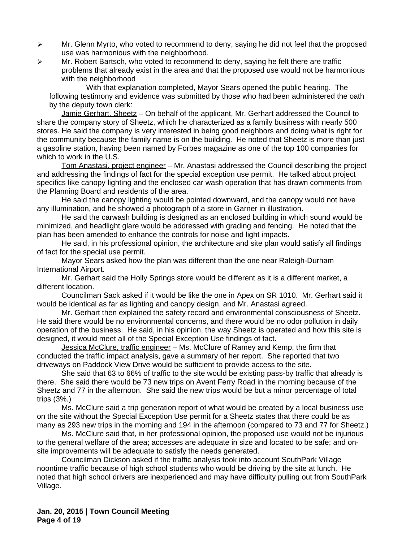- $\triangleright$  Mr. Glenn Myrto, who voted to recommend to deny, saying he did not feel that the proposed use was harmonious with the neighborhood.
- $\triangleright$  Mr. Robert Bartsch, who voted to recommend to deny, saying he felt there are traffic problems that already exist in the area and that the proposed use would not be harmonious with the neighborhood

With that explanation completed, Mayor Sears opened the public hearing. The following testimony and evidence was submitted by those who had been administered the oath by the deputy town clerk:

Jamie Gerhart, Sheetz - On behalf of the applicant, Mr. Gerhart addressed the Council to share the company story of Sheetz, which he characterized as a family business with nearly 500 stores. He said the company is very interested in being good neighbors and doing what is right for the community because the family name is on the building. He noted that Sheetz is more than just a gasoline station, having been named by Forbes magazine as one of the top 100 companies for which to work in the U.S.

Tom Anastasi, project engineer – Mr. Anastasi addressed the Council describing the project and addressing the findings of fact for the special exception use permit. He talked about project specifics like canopy lighting and the enclosed car wash operation that has drawn comments from the Planning Board and residents of the area.

He said the canopy lighting would be pointed downward, and the canopy would not have any illumination, and he showed a photograph of a store in Garner in illustration.

He said the carwash building is designed as an enclosed building in which sound would be minimized, and headlight glare would be addressed with grading and fencing. He noted that the plan has been amended to enhance the controls for noise and light impacts.

He said, in his professional opinion, the architecture and site plan would satisfy all findings of fact for the special use permit.

Mayor Sears asked how the plan was different than the one near Raleigh-Durham International Airport.

Mr. Gerhart said the Holly Springs store would be different as it is a different market, a different location.

Councilman Sack asked if it would be like the one in Apex on SR 1010. Mr. Gerhart said it would be identical as far as lighting and canopy design, and Mr. Anastasi agreed.

Mr. Gerhart then explained the safety record and environmental consciousness of Sheetz. He said there would be no environmental concerns, and there would be no odor pollution in daily operation of the business. He said, in his opinion, the way Sheetz is operated and how this site is designed, it would meet all of the Special Exception Use findings of fact.

Jessica McClure, traffic engineer – Ms. McClure of Ramey and Kemp, the firm that conducted the traffic impact analysis, gave a summary of her report. She reported that two driveways on Paddock View Drive would be sufficient to provide access to the site.

She said that 63 to 66% of traffic to the site would be existing pass-by traffic that already is there. She said there would be 73 new trips on Avent Ferry Road in the morning because of the Sheetz and 77 in the afternoon. She said the new trips would be but a minor percentage of total trips (3%.)

Ms. McClure said a trip generation report of what would be created by a local business use on the site without the Special Exception Use permit for a Sheetz states that there could be as many as 293 new trips in the morning and 194 in the afternoon (compared to 73 and 77 for Sheetz.)

Ms. McClure said that, in her professional opinion, the proposed use would not be injurious to the general welfare of the area; accesses are adequate in size and located to be safe; and onsite improvements will be adequate to satisfy the needs generated.

Councilman Dickson asked if the traffic analysis took into account SouthPark Village noontime traffic because of high school students who would be driving by the site at lunch. He noted that high school drivers are inexperienced and may have difficulty pulling out from SouthPark Village.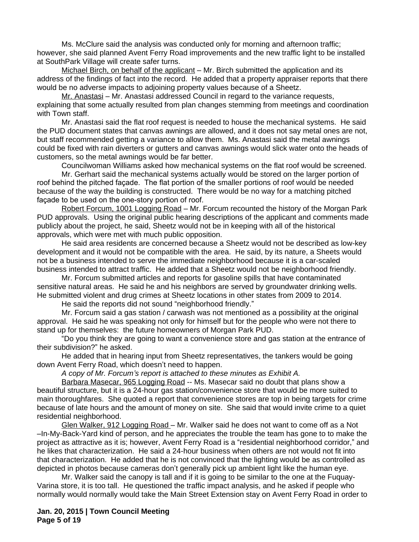Ms. McClure said the analysis was conducted only for morning and afternoon traffic; however, she said planned Avent Ferry Road improvements and the new traffic light to be installed at SouthPark Village will create safer turns.

Michael Birch, on behalf of the applicant – Mr. Birch submitted the application and its address of the findings of fact into the record. He added that a property appraiser reports that there would be no adverse impacts to adjoining property values because of a Sheetz.

Mr. Anastasi - Mr. Anastasi addressed Council in regard to the variance requests, explaining that some actually resulted from plan changes stemming from meetings and coordination with Town staff.

Mr. Anastasi said the flat roof request is needed to house the mechanical systems. He said the PUD document states that canvas awnings are allowed, and it does not say metal ones are not, but staff recommended getting a variance to allow them. Ms. Anastasi said the metal awnings could be fixed with rain diverters or gutters and canvas awnings would slick water onto the heads of customers, so the metal awnings would be far better.

Councilwoman Williams asked how mechanical systems on the flat roof would be screened.

Mr. Gerhart said the mechanical systems actually would be stored on the larger portion of roof behind the pitched façade. The flat portion of the smaller portions of roof would be needed because of the way the building is constructed. There would be no way for a matching pitched façade to be used on the one-story portion of roof.

Robert Forcum, 1001 Logging Road – Mr. Forcum recounted the history of the Morgan Park PUD approvals. Using the original public hearing descriptions of the applicant and comments made publicly about the project, he said, Sheetz would not be in keeping with all of the historical approvals, which were met with much public opposition.

He said area residents are concerned because a Sheetz would not be described as low-key development and it would not be compatible with the area. He said, by its nature, a Sheets would not be a business intended to serve the immediate neighborhood because it is a car-scaled business intended to attract traffic. He added that a Sheetz would not be neighborhood friendly.

Mr. Forcum submitted articles and reports for gasoline spills that have contaminated sensitive natural areas. He said he and his neighbors are served by groundwater drinking wells. He submitted violent and drug crimes at Sheetz locations in other states from 2009 to 2014.

He said the reports did not sound "neighborhood friendly."

Mr. Forcum said a gas station / carwash was not mentioned as a possibility at the original approval. He said he was speaking not only for himself but for the people who were not there to stand up for themselves: the future homeowners of Morgan Park PUD.

"Do you think they are going to want a convenience store and gas station at the entrance of their subdivision?" he asked.

He added that in hearing input from Sheetz representatives, the tankers would be going down Avent Ferry Road, which doesn't need to happen.

*A copy of Mr. Forcum's report is attached to these minutes as Exhibit A.*

Barbara Masecar, 965 Logging Road -- Ms. Masecar said no doubt that plans show a beautiful structure, but it is a 24-hour gas station/convenience store that would be more suited to main thoroughfares. She quoted a report that convenience stores are top in being targets for crime because of late hours and the amount of money on site. She said that would invite crime to a quiet residential neighborhood.

Glen Walker, 912 Logging Road - Mr. Walker said he does not want to come off as a Not –In-My-Back-Yard kind of person, and he appreciates the trouble the team has gone to to make the project as attractive as it is; however, Avent Ferry Road is a "residential neighborhood corridor," and he likes that characterization. He said a 24-hour business when others are not would not fit into that characterization. He added that he is not convinced that the lighting would be as controlled as depicted in photos because cameras don't generally pick up ambient light like the human eye.

Mr. Walker said the canopy is tall and if it is going to be similar to the one at the Fuquay-Varina store, it is too tall. He questioned the traffic impact analysis, and he asked if people who normally would normally would take the Main Street Extension stay on Avent Ferry Road in order to

**Jan. 20, 2015 | Town Council Meeting Page 5 of 19**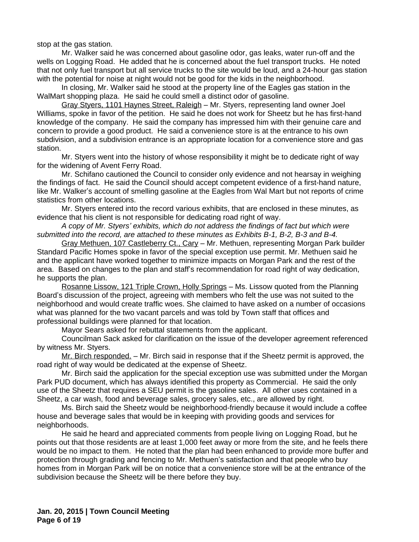stop at the gas station.

Mr. Walker said he was concerned about gasoline odor, gas leaks, water run-off and the wells on Logging Road. He added that he is concerned about the fuel transport trucks. He noted that not only fuel transport but all service trucks to the site would be loud, and a 24-hour gas station with the potential for noise at night would not be good for the kids in the neighborhood.

In closing, Mr. Walker said he stood at the property line of the Eagles gas station in the WalMart shopping plaza. He said he could smell a distinct odor of gasoline.

Gray Styers, 1101 Haynes Street, Raleigh – Mr. Styers, representing land owner Joel Williams, spoke in favor of the petition. He said he does not work for Sheetz but he has first-hand knowledge of the company. He said the company has impressed him with their genuine care and concern to provide a good product. He said a convenience store is at the entrance to his own subdivision, and a subdivision entrance is an appropriate location for a convenience store and gas station.

Mr. Styers went into the history of whose responsibility it might be to dedicate right of way for the widening of Avent Ferry Road.

Mr. Schifano cautioned the Council to consider only evidence and not hearsay in weighing the findings of fact. He said the Council should accept competent evidence of a first-hand nature, like Mr. Walker's account of smelling gasoline at the Eagles from Wal Mart but not reports of crime statistics from other locations.

Mr. Styers entered into the record various exhibits, that are enclosed in these minutes, as evidence that his client is not responsible for dedicating road right of way.

*A copy of Mr. Styers' exhibits, which do not address the findings of fact but which were submitted into the record, are attached to these minutes as Exhibits B-1, B-2, B-3 and B-4.*

Gray Methuen, 107 Castleberry Ct., Cary – Mr. Methuen, representing Morgan Park builder Standard Pacific Homes spoke in favor of the special exception use permit. Mr. Methuen said he and the applicant have worked together to minimize impacts on Morgan Park and the rest of the area. Based on changes to the plan and staff's recommendation for road right of way dedication, he supports the plan.

Rosanne Lissow, 121 Triple Crown, Holly Springs – Ms. Lissow quoted from the Planning Board's discussion of the project, agreeing with members who felt the use was not suited to the neighborhood and would create traffic woes. She claimed to have asked on a number of occasions what was planned for the two vacant parcels and was told by Town staff that offices and professional buildings were planned for that location.

Mayor Sears asked for rebuttal statements from the applicant.

Councilman Sack asked for clarification on the issue of the developer agreement referenced by witness Mr. Styers.

Mr. Birch responded. – Mr. Birch said in response that if the Sheetz permit is approved, the road right of way would be dedicated at the expense of Sheetz.

Mr. Birch said the application for the special exception use was submitted under the Morgan Park PUD document, which has always identified this property as Commercial. He said the only use of the Sheetz that requires a SEU permit is the gasoline sales. All other uses contained in a Sheetz, a car wash, food and beverage sales, grocery sales, etc., are allowed by right.

Ms. Birch said the Sheetz would be neighborhood-friendly because it would include a coffee house and beverage sales that would be in keeping with providing goods and services for neighborhoods.

He said he heard and appreciated comments from people living on Logging Road, but he points out that those residents are at least 1,000 feet away or more from the site, and he feels there would be no impact to them. He noted that the plan had been enhanced to provide more buffer and protection through grading and fencing to Mr. Methuen's satisfaction and that people who buy homes from in Morgan Park will be on notice that a convenience store will be at the entrance of the subdivision because the Sheetz will be there before they buy.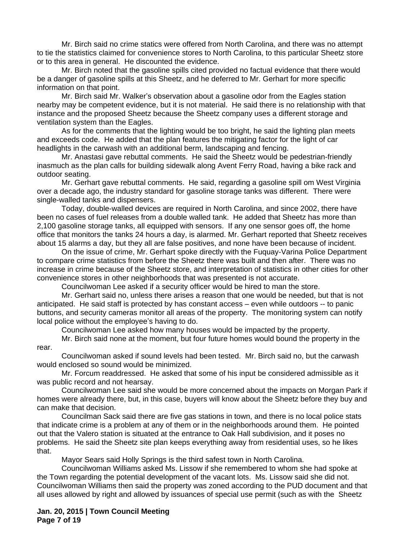Mr. Birch said no crime statics were offered from North Carolina, and there was no attempt to tie the statistics claimed for convenience stores to North Carolina, to this particular Sheetz store or to this area in general. He discounted the evidence.

Mr. Birch noted that the gasoline spills cited provided no factual evidence that there would be a danger of gasoline spills at this Sheetz, and he deferred to Mr. Gerhart for more specific information on that point.

Mr. Birch said Mr. Walker's observation about a gasoline odor from the Eagles station nearby may be competent evidence, but it is not material. He said there is no relationship with that instance and the proposed Sheetz because the Sheetz company uses a different storage and ventilation system than the Eagles.

As for the comments that the lighting would be too bright, he said the lighting plan meets and exceeds code. He added that the plan features the mitigating factor for the light of car headlights in the carwash with an additional berm, landscaping and fencing.

Mr. Anastasi gave rebuttal comments. He said the Sheetz would be pedestrian-friendly inasmuch as the plan calls for building sidewalk along Avent Ferry Road, having a bike rack and outdoor seating.

Mr. Gerhart gave rebuttal comments. He said, regarding a gasoline spill om West Virginia over a decade ago, the industry standard for gasoline storage tanks was different. There were single-walled tanks and dispensers.

Today, double-walled devices are required in North Carolina, and since 2002, there have been no cases of fuel releases from a double walled tank. He added that Sheetz has more than 2,100 gasoline storage tanks, all equipped with sensors. If any one sensor goes off, the home office that monitors the tanks 24 hours a day, is alarmed. Mr. Gerhart reported that Sheetz receives about 15 alarms a day, but they all are false positives, and none have been because of incident.

On the issue of crime, Mr. Gerhart spoke directly with the Fuquay-Varina Police Department to compare crime statistics from before the Sheetz there was built and then after. There was no increase in crime because of the Sheetz store, and interpretation of statistics in other cities for other convenience stores in other neighborhoods that was presented is not accurate.

Councilwoman Lee asked if a security officer would be hired to man the store.

Mr. Gerhart said no, unless there arises a reason that one would be needed, but that is not anticipated. He said staff is protected by has constant access – even while outdoors -- to panic buttons, and security cameras monitor all areas of the property. The monitoring system can notify local police without the employee's having to do.

Councilwoman Lee asked how many houses would be impacted by the property.

Mr. Birch said none at the moment, but four future homes would bound the property in the rear.

Councilwoman asked if sound levels had been tested. Mr. Birch said no, but the carwash would enclosed so sound would be minimized.

Mr. Forcum readdressed. He asked that some of his input be considered admissible as it was public record and not hearsay.

Councilwoman Lee said she would be more concerned about the impacts on Morgan Park if homes were already there, but, in this case, buyers will know about the Sheetz before they buy and can make that decision.

Councilman Sack said there are five gas stations in town, and there is no local police stats that indicate crime is a problem at any of them or in the neighborhoods around them. He pointed out that the Valero station is situated at the entrance to Oak Hall subdivision, and it poses no problems. He said the Sheetz site plan keeps everything away from residential uses, so he likes that.

Mayor Sears said Holly Springs is the third safest town in North Carolina.

Councilwoman Williams asked Ms. Lissow if she remembered to whom she had spoke at the Town regarding the potential development of the vacant lots. Ms. Lissow said she did not. Councilwoman Williams then said the property was zoned according to the PUD document and that all uses allowed by right and allowed by issuances of special use permit (such as with the Sheetz

**Jan. 20, 2015 | Town Council Meeting Page 7 of 19**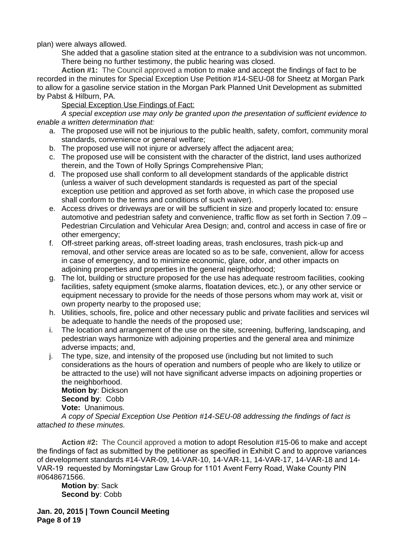plan) were always allowed.

She added that a gasoline station sited at the entrance to a subdivision was not uncommon. There being no further testimony, the public hearing was closed.

**Action #1:** The Council approved a motion to make and accept the findings of fact to be recorded in the minutes for Special Exception Use Petition #14-SEU-08 for Sheetz at Morgan Park to allow for a gasoline service station in the Morgan Park Planned Unit Development as submitted by Pabst & Hilburn, PA.

Special Exception Use Findings of Fact:

*A special exception use may only be granted upon the presentation of sufficient evidence to enable a written determination that:*

- a. The proposed use will not be injurious to the public health, safety, comfort, community moral standards, convenience or general welfare;
- b. The proposed use will not injure or adversely affect the adjacent area;
- c. The proposed use will be consistent with the character of the district, land uses authorized therein, and the Town of Holly Springs Comprehensive Plan;
- d. The proposed use shall conform to all development standards of the applicable district (unless a waiver of such development standards is requested as part of the special exception use petition and approved as set forth above, in which case the proposed use shall conform to the terms and conditions of such waiver).
- e. Access drives or driveways are or will be sufficient in size and properly located to: ensure automotive and pedestrian safety and convenience, traffic flow as set forth in Section 7.09 – Pedestrian Circulation and Vehicular Area Design; and, control and access in case of fire or other emergency;
- f. Off-street parking areas, off-street loading areas, trash enclosures, trash pick-up and removal, and other service areas are located so as to be safe, convenient, allow for access in case of emergency, and to minimize economic, glare, odor, and other impacts on adjoining properties and properties in the general neighborhood;
- g. The lot, building or structure proposed for the use has adequate restroom facilities, cooking facilities, safety equipment (smoke alarms, floatation devices, etc.), or any other service or equipment necessary to provide for the needs of those persons whom may work at, visit or own property nearby to the proposed use;
- h. Utilities, schools, fire, police and other necessary public and private facilities and services wil be adequate to handle the needs of the proposed use;
- i. The location and arrangement of the use on the site, screening, buffering, landscaping, and pedestrian ways harmonize with adjoining properties and the general area and minimize adverse impacts; and,
- j. The type, size, and intensity of the proposed use (including but not limited to such considerations as the hours of operation and numbers of people who are likely to utilize or be attracted to the use) will not have significant adverse impacts on adjoining properties or the neighborhood. **Motion by**: Dickson

**Second by**: Cobb **Vote:** Unanimous.

*A copy of Special Exception Use Petition #14-SEU-08 addressing the findings of fact is attached to these minutes.*

**Action #2:** The Council approved a motion to adopt Resolution #15-06 to make and accept the findings of fact as submitted by the petitioner as specified in Exhibit C and to approve variances of development standards #14-VAR-09, 14-VAR-10, 14-VAR-11, 14-VAR-17, 14-VAR-18 and 14- VAR-19 requested by Morningstar Law Group for 1101 Avent Ferry Road, Wake County PIN #0648671566.

**Motion by**: Sack **Second by**: Cobb

**Jan. 20, 2015 | Town Council Meeting Page 8 of 19**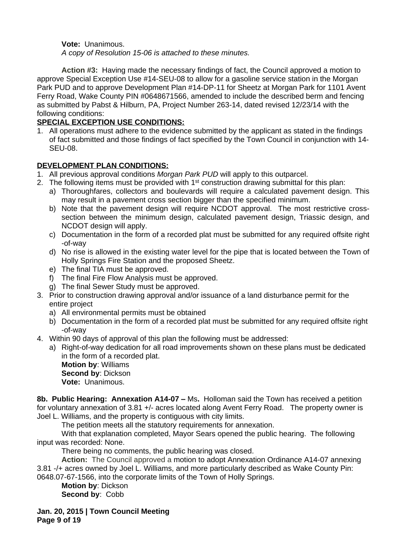### **Vote:** Unanimous.

*A copy of Resolution 15-06 is attached to these minutes.*

**Action #3:** Having made the necessary findings of fact, the Council approved a motion to approve Special Exception Use #14-SEU-08 to allow for a gasoline service station in the Morgan Park PUD and to approve Development Plan #14-DP-11 for Sheetz at Morgan Park for 1101 Avent Ferry Road, Wake County PIN #0648671566, amended to include the described berm and fencing as submitted by Pabst & Hilburn, PA, Project Number 263-14, dated revised 12/23/14 with the following conditions:

## **SPECIAL EXCEPTION USE CONDITIONS:**

1. All operations must adhere to the evidence submitted by the applicant as stated in the findings of fact submitted and those findings of fact specified by the Town Council in conjunction with 14- SEU-08.

# **DEVELOPMENT PLAN CONDITIONS:**

- 1. All previous approval conditions *Morgan Park PUD* will apply to this outparcel.
- 2. The following items must be provided with  $1<sup>st</sup>$  construction drawing submittal for this plan:
	- a) Thoroughfares, collectors and boulevards will require a calculated pavement design. This may result in a pavement cross section bigger than the specified minimum.
	- b) Note that the pavement design will require NCDOT approval. The most restrictive crosssection between the minimum design, calculated pavement design, Triassic design, and NCDOT design will apply.
	- c) Documentation in the form of a recorded plat must be submitted for any required offsite right -of-way
	- d) No rise is allowed in the existing water level for the pipe that is located between the Town of Holly Springs Fire Station and the proposed Sheetz.
	- e) The final TIA must be approved.
	- f) The final Fire Flow Analysis must be approved.
	- g) The final Sewer Study must be approved.
- 3. Prior to construction drawing approval and/or issuance of a land disturbance permit for the entire project
	- a) All environmental permits must be obtained
	- b) Documentation in the form of a recorded plat must be submitted for any required offsite right -of-way
- 4. Within 90 days of approval of this plan the following must be addressed:
	- a) Right-of-way dedication for all road improvements shown on these plans must be dedicated in the form of a recorded plat.

**Motion by**: Williams **Second by**: Dickson **Vote:** Unanimous.

**8b. Public Hearing: Annexation A14-07 –** Ms**.** Holloman said the Town has received a petition for voluntary annexation of 3.81 +/- acres located along Avent Ferry Road. The property owner is Joel L. Williams, and the property is contiguous with city limits.

The petition meets all the statutory requirements for annexation.

With that explanation completed, Mayor Sears opened the public hearing. The following input was recorded: None.

There being no comments, the public hearing was closed.

**Action:** The Council approved a motion to adopt Annexation Ordinance A14-07 annexing 3.81 -/+ acres owned by Joel L. Williams, and more particularly described as Wake County Pin:

0648.07-67-1566, into the corporate limits of the Town of Holly Springs.

**Motion by**: Dickson **Second by**: Cobb

**Jan. 20, 2015 | Town Council Meeting Page 9 of 19**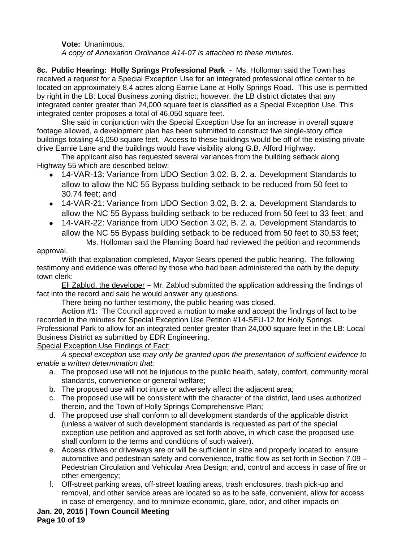**Vote:** Unanimous. *A copy of Annexation Ordinance A14-07 is attached to these minutes.*

**8c. Public Hearing: Holly Springs Professional Park -** Ms. Holloman said the Town has received a request for a Special Exception Use for an integrated professional office center to be located on approximately 8.4 acres along Earnie Lane at Holly Springs Road. This use is permitted by right in the LB: Local Business zoning district; however, the LB district dictates that any integrated center greater than 24,000 square feet is classified as a Special Exception Use. This integrated center proposes a total of 46,050 square feet.

She said in conjunction with the Special Exception Use for an increase in overall square footage allowed, a development plan has been submitted to construct five single-story office buildings totaling 46,050 square feet. Access to these buildings would be off of the existing private drive Earnie Lane and the buildings would have visibility along G.B. Alford Highway.

The applicant also has requested several variances from the building setback along Highway 55 which are described below:

- 14-VAR-13: Variance from UDO Section 3.02. B. 2. a. Development Standards to allow to allow the NC 55 Bypass building setback to be reduced from 50 feet to 30.74 feet; and
- 14-VAR-21: Variance from UDO Section 3.02, B. 2. a. Development Standards to allow the NC 55 Bypass building setback to be reduced from 50 feet to 33 feet; and
- 14-VAR-22: Variance from UDO Section 3.02, B. 2. a. Development Standards to allow the NC 55 Bypass building setback to be reduced from 50 feet to 30.53 feet; Ms. Holloman said the Planning Board had reviewed the petition and recommends

# approval.

With that explanation completed, Mayor Sears opened the public hearing. The following testimony and evidence was offered by those who had been administered the oath by the deputy town clerk:

Eli Zablud, the developer – Mr. Zablud submitted the application addressing the findings of fact into the record and said he would answer any questions.

There being no further testimony, the public hearing was closed.

**Action #1:** The Council approved a motion to make and accept the findings of fact to be recorded in the minutes for Special Exception Use Petition #14-SEU-12 for Holly Springs Professional Park to allow for an integrated center greater than 24,000 square feet in the LB: Local Business District as submitted by EDR Engineering.

Special Exception Use Findings of Fact:

*A special exception use may only be granted upon the presentation of sufficient evidence to enable a written determination that:*

- a. The proposed use will not be injurious to the public health, safety, comfort, community moral standards, convenience or general welfare;
- b. The proposed use will not injure or adversely affect the adjacent area;
- c. The proposed use will be consistent with the character of the district, land uses authorized therein, and the Town of Holly Springs Comprehensive Plan;
- d. The proposed use shall conform to all development standards of the applicable district (unless a waiver of such development standards is requested as part of the special exception use petition and approved as set forth above, in which case the proposed use shall conform to the terms and conditions of such waiver).
- e. Access drives or driveways are or will be sufficient in size and properly located to: ensure automotive and pedestrian safety and convenience, traffic flow as set forth in Section 7.09 – Pedestrian Circulation and Vehicular Area Design; and, control and access in case of fire or other emergency;
- f. Off-street parking areas, off-street loading areas, trash enclosures, trash pick-up and removal, and other service areas are located so as to be safe, convenient, allow for access in case of emergency, and to minimize economic, glare, odor, and other impacts on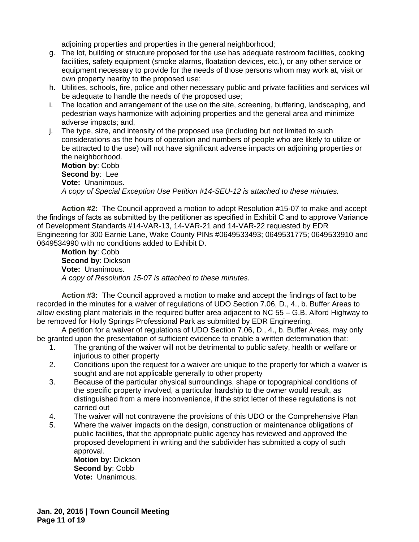adjoining properties and properties in the general neighborhood;

- g. The lot, building or structure proposed for the use has adequate restroom facilities, cooking facilities, safety equipment (smoke alarms, floatation devices, etc.), or any other service or equipment necessary to provide for the needs of those persons whom may work at, visit or own property nearby to the proposed use;
- h. Utilities, schools, fire, police and other necessary public and private facilities and services will be adequate to handle the needs of the proposed use;
- i. The location and arrangement of the use on the site, screening, buffering, landscaping, and pedestrian ways harmonize with adjoining properties and the general area and minimize adverse impacts; and,
- j. The type, size, and intensity of the proposed use (including but not limited to such considerations as the hours of operation and numbers of people who are likely to utilize or be attracted to the use) will not have significant adverse impacts on adjoining properties or the neighborhood. **Motion by**: Cobb

**Second by**: Lee **Vote:** Unanimous. *A copy of Special Exception Use Petition #14-SEU-12 is attached to these minutes.*

**Action #2:** The Council approved a motion to adopt Resolution #15-07 to make and accept the findings of facts as submitted by the petitioner as specified in Exhibit C and to approve Variance of Development Standards #14-VAR-13, 14-VAR-21 and 14-VAR-22 requested by EDR Engineering for 300 Earnie Lane, Wake County PINs #0649533493; 0649531775; 0649533910 and 0649534990 with no conditions added to Exhibit D.

**Motion by**: Cobb **Second by**: Dickson **Vote:** Unanimous. *A copy of Resolution 15-07 is attached to these minutes.*

**Action #3:** The Council approved a motion to make and accept the findings of fact to be recorded in the minutes for a waiver of regulations of UDO Section 7.06, D., 4., b. Buffer Areas to allow existing plant materials in the required buffer area adjacent to NC 55 – G.B. Alford Highway to be removed for Holly Springs Professional Park as submitted by EDR Engineering.

A petition for a waiver of regulations of UDO Section 7.06, D., 4., b. Buffer Areas, may only be granted upon the presentation of sufficient evidence to enable a written determination that:

- 1. The granting of the waiver will not be detrimental to public safety, health or welfare or injurious to other property
- 2. Conditions upon the request for a waiver are unique to the property for which a waiver is sought and are not applicable generally to other property
- 3. Because of the particular physical surroundings, shape or topographical conditions of the specific property involved, a particular hardship to the owner would result, as distinguished from a mere inconvenience, if the strict letter of these regulations is not carried out
- 4. The waiver will not contravene the provisions of this UDO or the Comprehensive Plan
- 5. Where the waiver impacts on the design, construction or maintenance obligations of public facilities, that the appropriate public agency has reviewed and approved the proposed development in writing and the subdivider has submitted a copy of such approval.

**Motion by**: Dickson **Second by**: Cobb **Vote:** Unanimous.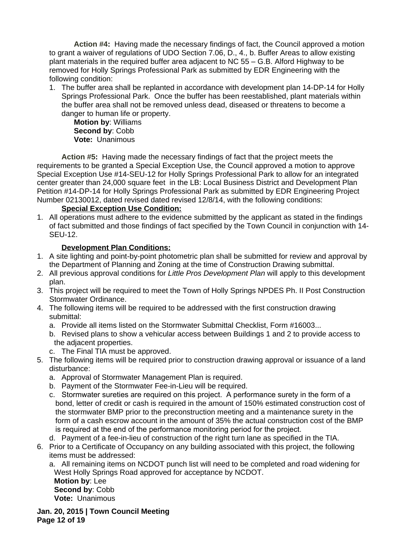**Action #4:** Having made the necessary findings of fact, the Council approved a motion to grant a waiver of regulations of UDO Section 7.06, D., 4., b. Buffer Areas to allow existing plant materials in the required buffer area adjacent to NC 55 – G.B. Alford Highway to be removed for Holly Springs Professional Park as submitted by EDR Engineering with the following condition:

1. The buffer area shall be replanted in accordance with development plan 14-DP-14 for Holly Springs Professional Park. Once the buffer has been reestablished, plant materials within the buffer area shall not be removed unless dead, diseased or threatens to become a danger to human life or property.

**Motion by**: Williams **Second by**: Cobb **Vote:** Unanimous

**Action #5:** Having made the necessary findings of fact that the project meets the requirements to be granted a Special Exception Use, the Council approved a motion to approve Special Exception Use #14-SEU-12 for Holly Springs Professional Park to allow for an integrated center greater than 24,000 square feet in the LB: Local Business District and Development Plan Petition #14-DP-14 for Holly Springs Professional Park as submitted by EDR Engineering Project Number 02130012, dated revised dated revised 12/8/14, with the following conditions:

## **Special Exception Use Condition:**

1. All operations must adhere to the evidence submitted by the applicant as stated in the findings of fact submitted and those findings of fact specified by the Town Council in conjunction with 14- SEU-12.

# **Development Plan Conditions:**

- 1. A site lighting and point-by-point photometric plan shall be submitted for review and approval by the Department of Planning and Zoning at the time of Construction Drawing submittal.
- 2. All previous approval conditions for *Little Pros Development Plan* will apply to this development plan.
- 3. This project will be required to meet the Town of Holly Springs NPDES Ph. II Post Construction Stormwater Ordinance.
- 4. The following items will be required to be addressed with the first construction drawing submittal:
	- a. Provide all items listed on the Stormwater Submittal Checklist, Form #16003...
	- b. Revised plans to show a vehicular access between Buildings 1 and 2 to provide access to the adjacent properties.
	- c. The Final TIA must be approved.
- 5. The following items will be required prior to construction drawing approval or issuance of a land disturbance:
	- a. Approval of Stormwater Management Plan is required.
	- b. Payment of the Stormwater Fee-in-Lieu will be required.
	- c. Stormwater sureties are required on this project. A performance surety in the form of a bond, letter of credit or cash is required in the amount of 150% estimated construction cost of the stormwater BMP prior to the preconstruction meeting and a maintenance surety in the form of a cash escrow account in the amount of 35% the actual construction cost of the BMP is required at the end of the performance monitoring period for the project.
	- d. Payment of a fee-in-lieu of construction of the right turn lane as specified in the TIA.
- 6. Prior to a Certificate of Occupancy on any building associated with this project, the following items must be addressed:
	- a. All remaining items on NCDOT punch list will need to be completed and road widening for West Holly Springs Road approved for acceptance by NCDOT.

**Motion by**: Lee **Second by**: Cobb **Vote:** Unanimous

**Jan. 20, 2015 | Town Council Meeting Page 12 of 19**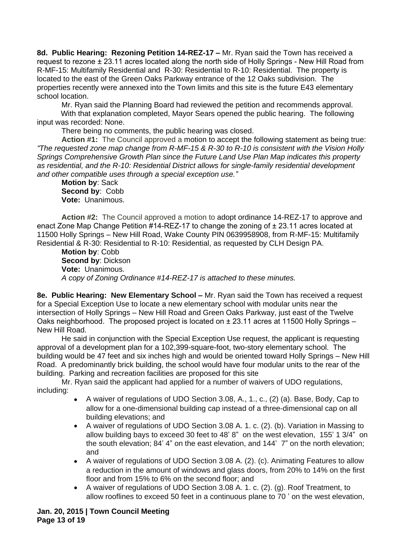**8d. Public Hearing: Rezoning Petition 14-REZ-17 –** Mr. Ryan said the Town has received a request to rezone ± 23.11 acres located along the north side of Holly Springs - New Hill Road from R-MF-15: Multifamily Residential and R-30: Residential to R-10: Residential. The property is located to the east of the Green Oaks Parkway entrance of the 12 Oaks subdivision. The properties recently were annexed into the Town limits and this site is the future E43 elementary school location.

Mr. Ryan said the Planning Board had reviewed the petition and recommends approval. With that explanation completed, Mayor Sears opened the public hearing. The following input was recorded: None.

There being no comments, the public hearing was closed.

**Action #1:** The Council approved a motion to accept the following statement as being true: *"The requested zone map change from R-MF-15 & R-30 to R-10 is consistent with the Vision Holly Springs Comprehensive Growth Plan since the Future Land Use Plan Map indicates this property as residential, and the R-10: Residential District allows for single-family residential development and other compatible uses through a special exception use."*

**Motion by**: Sack **Second by**: Cobb **Vote:** Unanimous.

**Action #2:** The Council approved a motion to adopt ordinance 14-REZ-17 to approve and enact Zone Map Change Petition #14-REZ-17 to change the zoning of  $\pm$  23.11 acres located at 11500 Holly Springs – New Hill Road, Wake County PIN 0639958908, from R-MF-15: Multifamily Residential & R-30: Residential to R-10: Residential, as requested by CLH Design PA.

**Motion by**: Cobb **Second by**: Dickson **Vote:** Unanimous. *A copy of Zoning Ordinance #14-REZ-17 is attached to these minutes.*

**8e. Public Hearing: New Elementary School – Mr. Ryan said the Town has received a request** for a Special Exception Use to locate a new elementary school with modular units near the intersection of Holly Springs – New Hill Road and Green Oaks Parkway, just east of the Twelve Oaks neighborhood. The proposed project is located on  $\pm 23.11$  acres at 11500 Holly Springs – New Hill Road.

He said in conjunction with the Special Exception Use request, the applicant is requesting approval of a development plan for a 102,399-square-foot, two-story elementary school. The building would be 47 feet and six inches high and would be oriented toward Holly Springs – New Hill Road. A predominantly brick building, the school would have four modular units to the rear of the building. Parking and recreation facilities are proposed for this site

Mr. Ryan said the applicant had applied for a number of waivers of UDO regulations, including:

- A waiver of regulations of UDO Section 3.08, A., 1., c., (2) (a). Base, Body, Cap to allow for a one-dimensional building cap instead of a three-dimensional cap on all building elevations; and
- A waiver of regulations of UDO Section 3.08 A. 1. c. (2). (b). Variation in Massing to allow building bays to exceed 30 feet to 48' 8" on the west elevation, 155' 1 3/4" on the south elevation; 84' 4" on the east elevation, and 144' 7" on the north elevation; and
- A waiver of regulations of UDO Section 3.08 A. (2). (c). Animating Features to allow a reduction in the amount of windows and glass doors, from 20% to 14% on the first floor and from 15% to 6% on the second floor; and
- A waiver of regulations of UDO Section 3.08 A. 1. c. (2). (g). Roof Treatment, to allow rooflines to exceed 50 feet in a continuous plane to 70 ' on the west elevation,

**Jan. 20, 2015 | Town Council Meeting Page 13 of 19**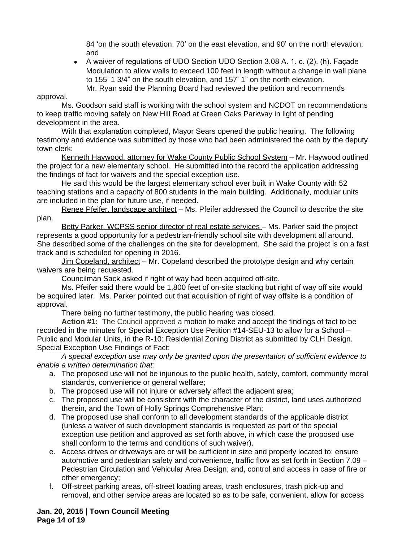84 'on the south elevation, 70' on the east elevation, and 90' on the north elevation; and

 A waiver of regulations of UDO Section UDO Section 3.08 A. 1. c. (2). (h). Façade Modulation to allow walls to exceed 100 feet in length without a change in wall plane to 155' 1 3/4" on the south elevation, and 157' 1" on the north elevation. Mr. Ryan said the Planning Board had reviewed the petition and recommends

### approval.

Ms. Goodson said staff is working with the school system and NCDOT on recommendations to keep traffic moving safely on New Hill Road at Green Oaks Parkway in light of pending development in the area.

With that explanation completed, Mayor Sears opened the public hearing. The following testimony and evidence was submitted by those who had been administered the oath by the deputy town clerk:

Kenneth Haywood, attorney for Wake County Public School System – Mr. Haywood outlined the project for a new elementary school. He submitted into the record the application addressing the findings of fact for waivers and the special exception use.

He said this would be the largest elementary school ever built in Wake County with 52 teaching stations and a capacity of 800 students in the main building. Additionally, modular units are included in the plan for future use, if needed.

Renee Pfeifer, landscape architect - Ms. Pfeifer addressed the Council to describe the site plan.

Betty Parker, WCPSS senior director of real estate services - Ms. Parker said the project represents a good opportunity for a pedestrian-friendly school site with development all around. She described some of the challenges on the site for development. She said the project is on a fast track and is scheduled for opening in 2016.

Jim Copeland, architect – Mr. Copeland described the prototype design and why certain waivers are being requested.

Councilman Sack asked if right of way had been acquired off-site.

Ms. Pfeifer said there would be 1,800 feet of on-site stacking but right of way off site would be acquired later. Ms. Parker pointed out that acquisition of right of way offsite is a condition of approval.

There being no further testimony, the public hearing was closed.

**Action #1:** The Council approved a motion to make and accept the findings of fact to be recorded in the minutes for Special Exception Use Petition #14-SEU-13 to allow for a School – Public and Modular Units, in the R-10: Residential Zoning District as submitted by CLH Design. Special Exception Use Findings of Fact:

*A special exception use may only be granted upon the presentation of sufficient evidence to enable a written determination that:*

- a. The proposed use will not be injurious to the public health, safety, comfort, community moral standards, convenience or general welfare;
- b. The proposed use will not injure or adversely affect the adjacent area;
- c. The proposed use will be consistent with the character of the district, land uses authorized therein, and the Town of Holly Springs Comprehensive Plan;
- d. The proposed use shall conform to all development standards of the applicable district (unless a waiver of such development standards is requested as part of the special exception use petition and approved as set forth above, in which case the proposed use shall conform to the terms and conditions of such waiver).
- e. Access drives or driveways are or will be sufficient in size and properly located to: ensure automotive and pedestrian safety and convenience, traffic flow as set forth in Section 7.09 – Pedestrian Circulation and Vehicular Area Design; and, control and access in case of fire or other emergency;
- f. Off-street parking areas, off-street loading areas, trash enclosures, trash pick-up and removal, and other service areas are located so as to be safe, convenient, allow for access

**Jan. 20, 2015 | Town Council Meeting Page 14 of 19**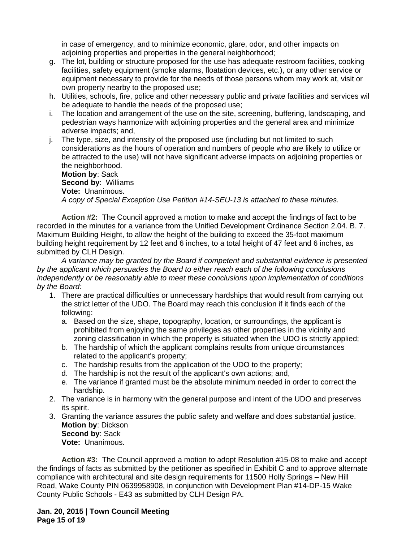in case of emergency, and to minimize economic, glare, odor, and other impacts on adjoining properties and properties in the general neighborhood;

- g. The lot, building or structure proposed for the use has adequate restroom facilities, cooking facilities, safety equipment (smoke alarms, floatation devices, etc.), or any other service or equipment necessary to provide for the needs of those persons whom may work at, visit or own property nearby to the proposed use;
- h. Utilities, schools, fire, police and other necessary public and private facilities and services will be adequate to handle the needs of the proposed use;
- i. The location and arrangement of the use on the site, screening, buffering, landscaping, and pedestrian ways harmonize with adjoining properties and the general area and minimize adverse impacts; and,
- j. The type, size, and intensity of the proposed use (including but not limited to such considerations as the hours of operation and numbers of people who are likely to utilize or be attracted to the use) will not have significant adverse impacts on adjoining properties or the neighborhood.

**Motion by**: Sack **Second by**: Williams **Vote:** Unanimous. *A copy of Special Exception Use Petition #14-SEU-13 is attached to these minutes.*

**Action #2:** The Council approved a motion to make and accept the findings of fact to be recorded in the minutes for a variance from the Unified Development Ordinance Section 2.04. B. 7. Maximum Building Height, to allow the height of the building to exceed the 35-foot maximum building height requirement by 12 feet and 6 inches, to a total height of 47 feet and 6 inches, as submitted by CLH Design.

*A variance may be granted by the Board if competent and substantial evidence is presented by the applicant which persuades the Board to either reach each of the following conclusions independently or be reasonably able to meet these conclusions upon implementation of conditions by the Board:*

- 1. There are practical difficulties or unnecessary hardships that would result from carrying out the strict letter of the UDO. The Board may reach this conclusion if it finds each of the following:
	- a. Based on the size, shape, topography, location, or surroundings, the applicant is prohibited from enjoying the same privileges as other properties in the vicinity and zoning classification in which the property is situated when the UDO is strictly applied;
	- b. The hardship of which the applicant complains results from unique circumstances related to the applicant's property;
	- c. The hardship results from the application of the UDO to the property;
	- d. The hardship is not the result of the applicant's own actions; and,
	- e. The variance if granted must be the absolute minimum needed in order to correct the hardship.
- 2. The variance is in harmony with the general purpose and intent of the UDO and preserves its spirit.
- 3. Granting the variance assures the public safety and welfare and does substantial justice. **Motion by**: Dickson **Second by**: Sack **Vote:** Unanimous.

**Action #3:** The Council approved a motion to adopt Resolution #15-08 to make and accept the findings of facts as submitted by the petitioner as specified in Exhibit C and to approve alternate compliance with architectural and site design requirements for 11500 Holly Springs – New Hill Road, Wake County PIN 0639958908, in conjunction with Development Plan #14-DP-15 Wake County Public Schools - E43 as submitted by CLH Design PA.

## **Jan. 20, 2015 | Town Council Meeting Page 15 of 19**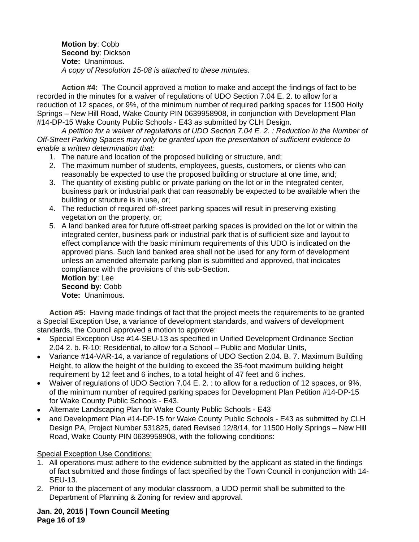**Motion by**: Cobb **Second by**: Dickson **Vote:** Unanimous. *A copy of Resolution 15-08 is attached to these minutes.*

**Action #4:** The Council approved a motion to make and accept the findings of fact to be recorded in the minutes for a waiver of regulations of UDO Section 7.04 E. 2. to allow for a reduction of 12 spaces, or 9%, of the minimum number of required parking spaces for 11500 Holly Springs – New Hill Road, Wake County PIN 0639958908, in conjunction with Development Plan #14-DP-15 Wake County Public Schools - E43 as submitted by CLH Design.

*A petition for a waiver of regulations of UDO Section 7.04 E. 2. : Reduction in the Number of Off-Street Parking Spaces may only be granted upon the presentation of sufficient evidence to enable a written determination that:*

- 1. The nature and location of the proposed building or structure, and;
- 2. The maximum number of students, employees, guests, customers, or clients who can reasonably be expected to use the proposed building or structure at one time, and;
- 3. The quantity of existing public or private parking on the lot or in the integrated center, business park or industrial park that can reasonably be expected to be available when the building or structure is in use, or;
- 4. The reduction of required off-street parking spaces will result in preserving existing vegetation on the property, or;
- 5. A land banked area for future off-street parking spaces is provided on the lot or within the integrated center, business park or industrial park that is of sufficient size and layout to effect compliance with the basic minimum requirements of this UDO is indicated on the approved plans. Such land banked area shall not be used for any form of development unless an amended alternate parking plan is submitted and approved, that indicates compliance with the provisions of this sub-Section.

**Motion by**: Lee **Second by**: Cobb **Vote:** Unanimous.

**Action #5:** Having made findings of fact that the project meets the requirements to be granted a Special Exception Use, a variance of development standards, and waivers of development standards, the Council approved a motion to approve:

- Special Exception Use #14-SEU-13 as specified in Unified Development Ordinance Section 2.04 2. b. R-10: Residential, to allow for a School – Public and Modular Units,
- Variance #14-VAR-14, a variance of regulations of UDO Section 2.04. B. 7. Maximum Building Height, to allow the height of the building to exceed the 35-foot maximum building height requirement by 12 feet and 6 inches, to a total height of 47 feet and 6 inches.
- Waiver of regulations of UDO Section 7.04 E. 2. : to allow for a reduction of 12 spaces, or 9%, of the minimum number of required parking spaces for Development Plan Petition #14-DP-15 for Wake County Public Schools - E43.
- Alternate Landscaping Plan for Wake County Public Schools E43
- and Development Plan #14-DP-15 for Wake County Public Schools E43 as submitted by CLH Design PA, Project Number 531825, dated Revised 12/8/14, for 11500 Holly Springs – New Hill Road, Wake County PIN 0639958908, with the following conditions:

Special Exception Use Conditions:

- 1. All operations must adhere to the evidence submitted by the applicant as stated in the findings of fact submitted and those findings of fact specified by the Town Council in conjunction with 14- SEU-13.
- 2. Prior to the placement of any modular classroom, a UDO permit shall be submitted to the Department of Planning & Zoning for review and approval.

**Jan. 20, 2015 | Town Council Meeting Page 16 of 19**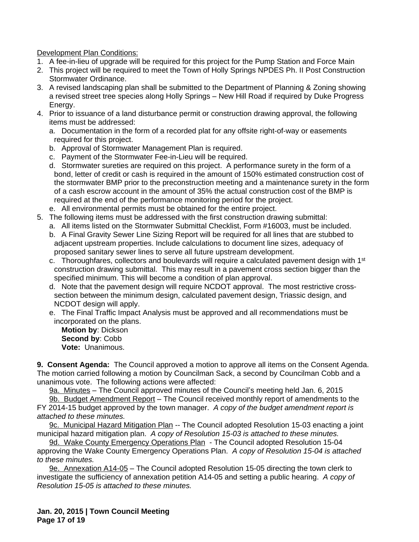Development Plan Conditions:

- 1. A fee-in-lieu of upgrade will be required for this project for the Pump Station and Force Main
- 2. This project will be required to meet the Town of Holly Springs NPDES Ph. II Post Construction Stormwater Ordinance.
- 3. A revised landscaping plan shall be submitted to the Department of Planning & Zoning showing a revised street tree species along Holly Springs – New Hill Road if required by Duke Progress Energy.
- 4. Prior to issuance of a land disturbance permit or construction drawing approval, the following items must be addressed:
	- a. Documentation in the form of a recorded plat for any offsite right-of-way or easements required for this project.
	- b. Approval of Stormwater Management Plan is required.
	- c. Payment of the Stormwater Fee-in-Lieu will be required.
	- d. Stormwater sureties are required on this project. A performance surety in the form of a bond, letter of credit or cash is required in the amount of 150% estimated construction cost of the stormwater BMP prior to the preconstruction meeting and a maintenance surety in the form of a cash escrow account in the amount of 35% the actual construction cost of the BMP is required at the end of the performance monitoring period for the project.
	- e. All environmental permits must be obtained for the entire project.
- 5. The following items must be addressed with the first construction drawing submittal:
	- a. All items listed on the Stormwater Submittal Checklist, Form #16003, must be included.
	- b. A Final Gravity Sewer Line Sizing Report will be required for all lines that are stubbed to adjacent upstream properties. Include calculations to document line sizes, adequacy of proposed sanitary sewer lines to serve all future upstream development.
	- c. Thoroughfares, collectors and boulevards will require a calculated pavement design with 1<sup>st</sup> construction drawing submittal. This may result in a pavement cross section bigger than the specified minimum. This will become a condition of plan approval.
	- d. Note that the pavement design will require NCDOT approval. The most restrictive crosssection between the minimum design, calculated pavement design, Triassic design, and NCDOT design will apply.
	- e. The Final Traffic Impact Analysis must be approved and all recommendations must be incorporated on the plans.

**Motion by**: Dickson **Second by**: Cobb **Vote:** Unanimous.

**9. Consent Agenda:** The Council approved a motion to approve all items on the Consent Agenda. The motion carried following a motion by Councilman Sack, a second by Councilman Cobb and a unanimous vote. The following actions were affected:

9a. Minutes – The Council approved minutes of the Council's meeting held Jan. 6, 2015

9b. Budget Amendment Report – The Council received monthly report of amendments to the FY 2014-15 budget approved by the town manager. *A copy of the budget amendment report is attached to these minutes.*

9c. Municipal Hazard Mitigation Plan -- The Council adopted Resolution 15-03 enacting a joint municipal hazard mitigation plan. *A copy of Resolution 15-03 is attached to these minutes.*

9d. Wake County Emergency Operations Plan - The Council adopted Resolution 15-04 approving the Wake County Emergency Operations Plan. *A copy of Resolution 15-04 is attached to these minutes.*

9e. Annexation A14-05 – The Council adopted Resolution 15-05 directing the town clerk to investigate the sufficiency of annexation petition A14-05 and setting a public hearing. *A copy of Resolution 15-05 is attached to these minutes.*

**Jan. 20, 2015 | Town Council Meeting Page 17 of 19**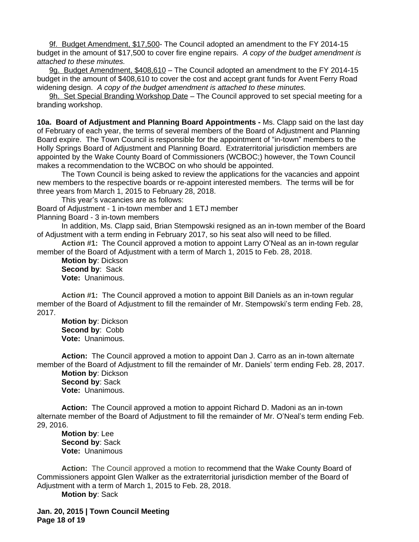9f. Budget Amendment, \$17,500- The Council adopted an amendment to the FY 2014-15 budget in the amount of \$17,500 to cover fire engine repairs. *A copy of the budget amendment is attached to these minutes.*

9g. Budget Amendment, \$408,610 – The Council adopted an amendment to the FY 2014-15 budget in the amount of \$408,610 to cover the cost and accept grant funds for Avent Ferry Road widening design. *A copy of the budget amendment is attached to these minutes.*

9h. Set Special Branding Workshop Date – The Council approved to set special meeting for a branding workshop.

**10a. Board of Adjustment and Planning Board Appointments -** Ms. Clapp said on the last day of February of each year, the terms of several members of the Board of Adjustment and Planning Board expire. The Town Council is responsible for the appointment of "in-town" members to the Holly Springs Board of Adjustment and Planning Board. Extraterritorial jurisdiction members are appointed by the Wake County Board of Commissioners (WCBOC;) however, the Town Council makes a recommendation to the WCBOC on who should be appointed.

The Town Council is being asked to review the applications for the vacancies and appoint new members to the respective boards or re-appoint interested members. The terms will be for three years from March 1, 2015 to February 28, 2018.

This year's vacancies are as follows:

Board of Adjustment - 1 in-town member and 1 ETJ member

Planning Board - 3 in-town members

In addition, Ms. Clapp said, Brian Stempowski resigned as an in-town member of the Board of Adjustment with a term ending in February 2017, so his seat also will need to be filled.

**Action #1:** The Council approved a motion to appoint Larry O'Neal as an in-town regular member of the Board of Adjustment with a term of March 1, 2015 to Feb. 28, 2018.

**Motion by**: Dickson **Second by**: Sack **Vote:** Unanimous.

**Action #1:** The Council approved a motion to appoint Bill Daniels as an in-town regular member of the Board of Adjustment to fill the remainder of Mr. Stempowski's term ending Feb. 28, 2017.

**Motion by**: Dickson **Second by**: Cobb **Vote:** Unanimous.

**Action:** The Council approved a motion to appoint Dan J. Carro as an in-town alternate member of the Board of Adjustment to fill the remainder of Mr. Daniels' term ending Feb. 28, 2017.

**Motion by**: Dickson **Second by**: Sack **Vote:** Unanimous.

**Action:** The Council approved a motion to appoint Richard D. Madoni as an in-town alternate member of the Board of Adjustment to fill the remainder of Mr. O'Neal's term ending Feb. 29, 2016.

**Motion by**: Lee **Second by**: Sack **Vote:** Unanimous

**Action:** The Council approved a motion to recommend that the Wake County Board of Commissioners appoint Glen Walker as the extraterritorial jurisdiction member of the Board of Adjustment with a term of March 1, 2015 to Feb. 28, 2018.

**Motion by**: Sack

**Jan. 20, 2015 | Town Council Meeting Page 18 of 19**